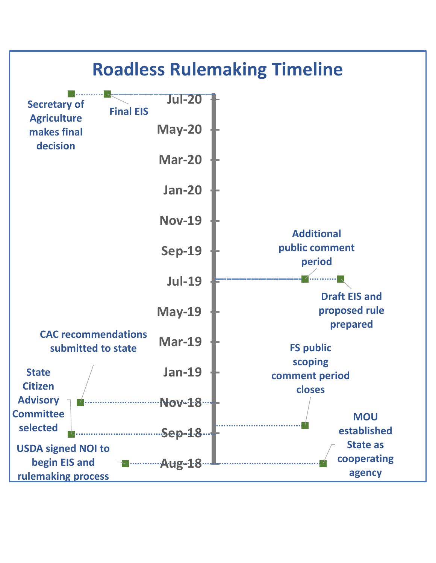